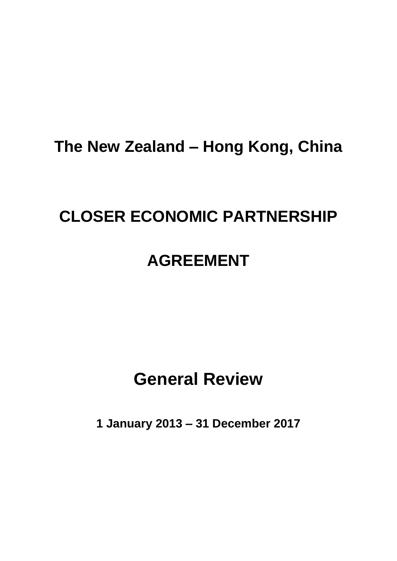# **The New Zealand – Hong Kong, China**

# **CLOSER ECONOMIC PARTNERSHIP**

# **AGREEMENT**

# **General Review**

**1 January 2013 – 31 December 2017**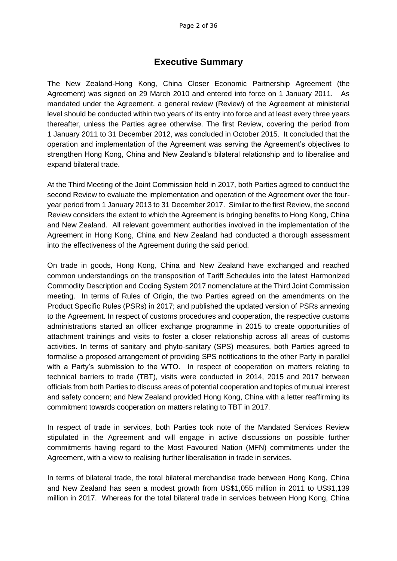## **Executive Summary**

The New Zealand-Hong Kong, China Closer Economic Partnership Agreement (the Agreement) was signed on 29 March 2010 and entered into force on 1 January 2011. As mandated under the Agreement, a general review (Review) of the Agreement at ministerial level should be conducted within two years of its entry into force and at least every three years thereafter, unless the Parties agree otherwise. The first Review, covering the period from 1 January 2011 to 31 December 2012, was concluded in October 2015. It concluded that the operation and implementation of the Agreement was serving the Agreement's objectives to strengthen Hong Kong, China and New Zealand's bilateral relationship and to liberalise and expand bilateral trade.

At the Third Meeting of the Joint Commission held in 2017, both Parties agreed to conduct the second Review to evaluate the implementation and operation of the Agreement over the fouryear period from 1 January 2013 to 31 December 2017. Similar to the first Review, the second Review considers the extent to which the Agreement is bringing benefits to Hong Kong, China and New Zealand. All relevant government authorities involved in the implementation of the Agreement in Hong Kong, China and New Zealand had conducted a thorough assessment into the effectiveness of the Agreement during the said period.

On trade in goods, Hong Kong, China and New Zealand have exchanged and reached common understandings on the transposition of Tariff Schedules into the latest Harmonized Commodity Description and Coding System 2017 nomenclature at the Third Joint Commission meeting. In terms of Rules of Origin, the two Parties agreed on the amendments on the Product Specific Rules (PSRs) in 2017; and published the updated version of PSRs annexing to the Agreement. In respect of customs procedures and cooperation, the respective customs administrations started an officer exchange programme in 2015 to create opportunities of attachment trainings and visits to foster a closer relationship across all areas of customs activities. In terms of sanitary and phyto-sanitary (SPS) measures, both Parties agreed to formalise a proposed arrangement of providing SPS notifications to the other Party in parallel with a Party's submission to the WTO. In respect of cooperation on matters relating to technical barriers to trade (TBT), visits were conducted in 2014, 2015 and 2017 between officials from both Parties to discuss areas of potential cooperation and topics of mutual interest and safety concern; and New Zealand provided Hong Kong, China with a letter reaffirming its commitment towards cooperation on matters relating to TBT in 2017.

In respect of trade in services, both Parties took note of the Mandated Services Review stipulated in the Agreement and will engage in active discussions on possible further commitments having regard to the Most Favoured Nation (MFN) commitments under the Agreement, with a view to realising further liberalisation in trade in services.

In terms of bilateral trade, the total bilateral merchandise trade between Hong Kong, China and New Zealand has seen a modest growth from US\$1,055 million in 2011 to US\$1,139 million in 2017. Whereas for the total bilateral trade in services between Hong Kong, China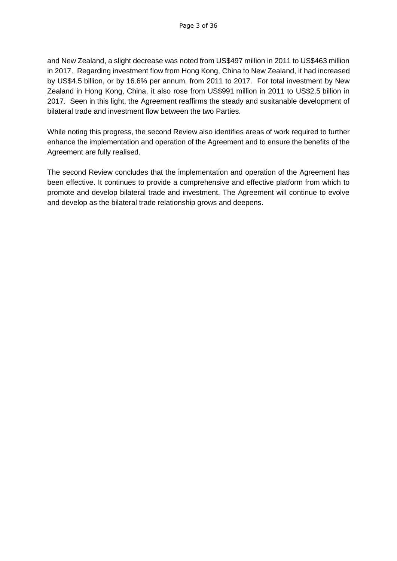and New Zealand, a slight decrease was noted from US\$497 million in 2011 to US\$463 million in 2017. Regarding investment flow from Hong Kong, China to New Zealand, it had increased by US\$4.5 billion, or by 16.6% per annum, from 2011 to 2017. For total investment by New Zealand in Hong Kong, China, it also rose from US\$991 million in 2011 to US\$2.5 billion in 2017. Seen in this light, the Agreement reaffirms the steady and susitanable development of bilateral trade and investment flow between the two Parties.

While noting this progress, the second Review also identifies areas of work required to further enhance the implementation and operation of the Agreement and to ensure the benefits of the Agreement are fully realised.

The second Review concludes that the implementation and operation of the Agreement has been effective. It continues to provide a comprehensive and effective platform from which to promote and develop bilateral trade and investment. The Agreement will continue to evolve and develop as the bilateral trade relationship grows and deepens.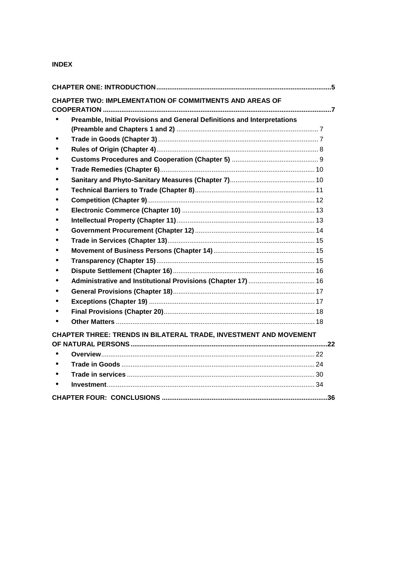#### **INDEX**

| CHAPTER TWO: IMPLEMENTATION OF COMMITMENTS AND AREAS OF                  |  |
|--------------------------------------------------------------------------|--|
| Preamble, Initial Provisions and General Definitions and Interpretations |  |
|                                                                          |  |
|                                                                          |  |
|                                                                          |  |
|                                                                          |  |
|                                                                          |  |
|                                                                          |  |
|                                                                          |  |
|                                                                          |  |
|                                                                          |  |
|                                                                          |  |
|                                                                          |  |
|                                                                          |  |
|                                                                          |  |
|                                                                          |  |
|                                                                          |  |
|                                                                          |  |
|                                                                          |  |
|                                                                          |  |
|                                                                          |  |
|                                                                          |  |
| CHAPTER THREE: TRENDS IN BILATERAL TRADE, INVESTMENT AND MOVEMENT        |  |
|                                                                          |  |
|                                                                          |  |
|                                                                          |  |
|                                                                          |  |
|                                                                          |  |
|                                                                          |  |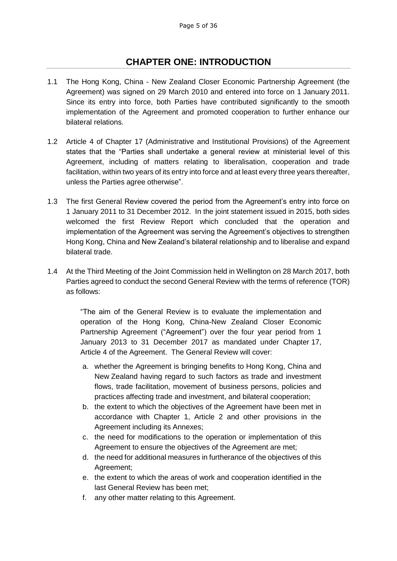## **CHAPTER ONE: INTRODUCTION**

- <span id="page-4-0"></span>1.1 The Hong Kong, China - New Zealand Closer Economic Partnership Agreement (the Agreement) was signed on 29 March 2010 and entered into force on 1 January 2011. Since its entry into force, both Parties have contributed significantly to the smooth implementation of the Agreement and promoted cooperation to further enhance our bilateral relations.
- 1.2 Article 4 of Chapter 17 (Administrative and Institutional Provisions) of the Agreement states that the "Parties shall undertake a general review at ministerial level of this Agreement, including of matters relating to liberalisation, cooperation and trade facilitation, within two years of its entry into force and at least every three years thereafter, unless the Parties agree otherwise".
- 1.3 The first General Review covered the period from the Agreement's entry into force on 1 January 2011 to 31 December 2012. In the joint statement issued in 2015, both sides welcomed the first Review Report which concluded that the operation and implementation of the Agreement was serving the Agreement's objectives to strengthen Hong Kong, China and New Zealand's bilateral relationship and to liberalise and expand bilateral trade.
- 1.4 At the Third Meeting of the Joint Commission held in Wellington on 28 March 2017, both Parties agreed to conduct the second General Review with the terms of reference (TOR) as follows:

"The aim of the General Review is to evaluate the implementation and operation of the Hong Kong, China-New Zealand Closer Economic Partnership Agreement ("Agreement") over the four year period from 1 January 2013 to 31 December 2017 as mandated under Chapter 17, Article 4 of the Agreement. The General Review will cover:

- a. whether the Agreement is bringing benefits to Hong Kong, China and New Zealand having regard to such factors as trade and investment flows, trade facilitation, movement of business persons, policies and practices affecting trade and investment, and bilateral cooperation;
- b. the extent to which the objectives of the Agreement have been met in accordance with Chapter 1, Article 2 and other provisions in the Agreement including its Annexes;
- c. the need for modifications to the operation or implementation of this Agreement to ensure the objectives of the Agreement are met;
- d. the need for additional measures in furtherance of the objectives of this Agreement;
- e. the extent to which the areas of work and cooperation identified in the last General Review has been met;
- f. any other matter relating to this Agreement.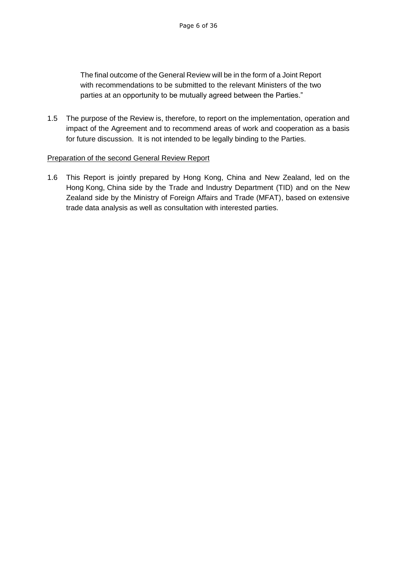The final outcome of the General Review will be in the form of a Joint Report with recommendations to be submitted to the relevant Ministers of the two parties at an opportunity to be mutually agreed between the Parties."

1.5 The purpose of the Review is, therefore, to report on the implementation, operation and impact of the Agreement and to recommend areas of work and cooperation as a basis for future discussion. It is not intended to be legally binding to the Parties.

#### Preparation of the second General Review Report

1.6 This Report is jointly prepared by Hong Kong, China and New Zealand, led on the Hong Kong, China side by the Trade and Industry Department (TID) and on the New Zealand side by the Ministry of Foreign Affairs and Trade (MFAT), based on extensive trade data analysis as well as consultation with interested parties.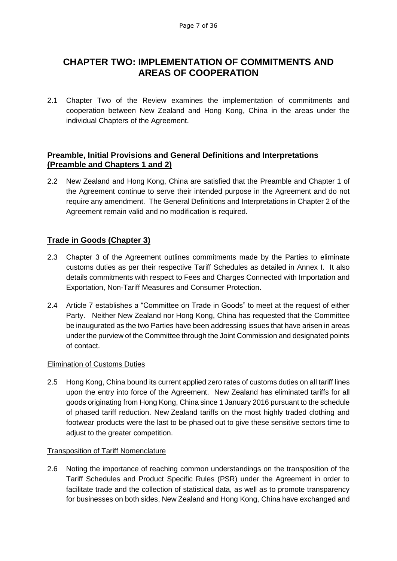## <span id="page-6-0"></span>**CHAPTER TWO: IMPLEMENTATION OF COMMITMENTS AND AREAS OF COOPERATION**

2.1 Chapter Two of the Review examines the implementation of commitments and cooperation between New Zealand and Hong Kong, China in the areas under the individual Chapters of the Agreement.

## <span id="page-6-1"></span>**Preamble, Initial Provisions and General Definitions and Interpretations (Preamble and Chapters 1 and 2)**

2.2 New Zealand and Hong Kong, China are satisfied that the Preamble and Chapter 1 of the Agreement continue to serve their intended purpose in the Agreement and do not require any amendment. The General Definitions and Interpretations in Chapter 2 of the Agreement remain valid and no modification is required.

## <span id="page-6-2"></span>**Trade in Goods (Chapter 3)**

- 2.3 Chapter 3 of the Agreement outlines commitments made by the Parties to eliminate customs duties as per their respective Tariff Schedules as detailed in Annex I. It also details commitments with respect to Fees and Charges Connected with Importation and Exportation, Non-Tariff Measures and Consumer Protection.
- 2.4 Article 7 establishes a "Committee on Trade in Goods" to meet at the request of either Party. Neither New Zealand nor Hong Kong, China has requested that the Committee be inaugurated as the two Parties have been addressing issues that have arisen in areas under the purview of the Committee through the Joint Commission and designated points of contact.

#### Elimination of Customs Duties

2.5 Hong Kong, China bound its current applied zero rates of customs duties on all tariff lines upon the entry into force of the Agreement. New Zealand has eliminated tariffs for all goods originating from Hong Kong, China since 1 January 2016 pursuant to the schedule of phased tariff reduction. New Zealand tariffs on the most highly traded clothing and footwear products were the last to be phased out to give these sensitive sectors time to adjust to the greater competition.

#### Transposition of Tariff Nomenclature

2.6 Noting the importance of reaching common understandings on the transposition of the Tariff Schedules and Product Specific Rules (PSR) under the Agreement in order to facilitate trade and the collection of statistical data, as well as to promote transparency for businesses on both sides, New Zealand and Hong Kong, China have exchanged and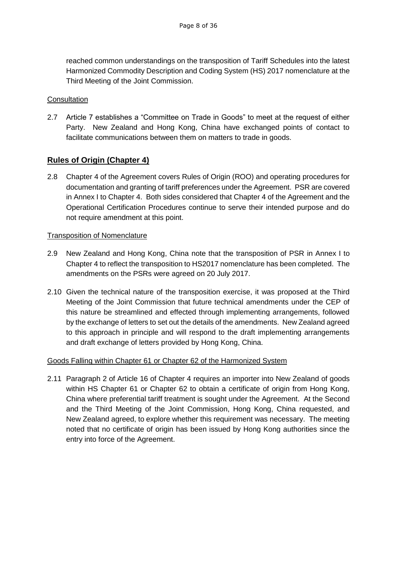reached common understandings on the transposition of Tariff Schedules into the latest Harmonized Commodity Description and Coding System (HS) 2017 nomenclature at the Third Meeting of the Joint Commission.

#### **Consultation**

2.7 Article 7 establishes a "Committee on Trade in Goods" to meet at the request of either Party. New Zealand and Hong Kong, China have exchanged points of contact to facilitate communications between them on matters to trade in goods.

## <span id="page-7-0"></span>**Rules of Origin (Chapter 4)**

2.8 Chapter 4 of the Agreement covers Rules of Origin (ROO) and operating procedures for documentation and granting of tariff preferences under the Agreement. PSR are covered in Annex I to Chapter 4. Both sides considered that Chapter 4 of the Agreement and the Operational Certification Procedures continue to serve their intended purpose and do not require amendment at this point.

#### Transposition of Nomenclature

- 2.9 New Zealand and Hong Kong, China note that the transposition of PSR in Annex I to Chapter 4 to reflect the transposition to HS2017 nomenclature has been completed. The amendments on the PSRs were agreed on 20 July 2017.
- 2.10 Given the technical nature of the transposition exercise, it was proposed at the Third Meeting of the Joint Commission that future technical amendments under the CEP of this nature be streamlined and effected through implementing arrangements, followed by the exchange of letters to set out the details of the amendments. New Zealand agreed to this approach in principle and will respond to the draft implementing arrangements and draft exchange of letters provided by Hong Kong, China.

## Goods Falling within Chapter 61 or Chapter 62 of the Harmonized System

2.11 Paragraph 2 of Article 16 of Chapter 4 requires an importer into New Zealand of goods within HS Chapter 61 or Chapter 62 to obtain a certificate of origin from Hong Kong, China where preferential tariff treatment is sought under the Agreement. At the Second and the Third Meeting of the Joint Commission, Hong Kong, China requested, and New Zealand agreed, to explore whether this requirement was necessary. The meeting noted that no certificate of origin has been issued by Hong Kong authorities since the entry into force of the Agreement.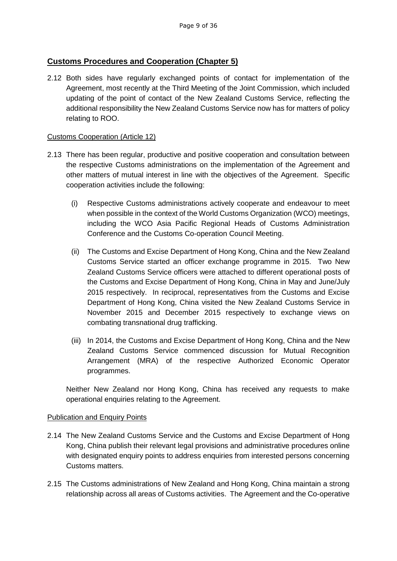## <span id="page-8-0"></span>**Customs Procedures and Cooperation (Chapter 5)**

2.12 Both sides have regularly exchanged points of contact for implementation of the Agreement, most recently at the Third Meeting of the Joint Commission, which included updating of the point of contact of the New Zealand Customs Service, reflecting the additional responsibility the New Zealand Customs Service now has for matters of policy relating to ROO.

#### Customs Cooperation (Article 12)

- 2.13 There has been regular, productive and positive cooperation and consultation between the respective Customs administrations on the implementation of the Agreement and other matters of mutual interest in line with the objectives of the Agreement. Specific cooperation activities include the following:
	- (i) Respective Customs administrations actively cooperate and endeavour to meet when possible in the context of the World Customs Organization (WCO) meetings, including the WCO Asia Pacific Regional Heads of Customs Administration Conference and the Customs Co-operation Council Meeting.
	- (ii) The Customs and Excise Department of Hong Kong, China and the New Zealand Customs Service started an officer exchange programme in 2015. Two New Zealand Customs Service officers were attached to different operational posts of the Customs and Excise Department of Hong Kong, China in May and June/July 2015 respectively. In reciprocal, representatives from the Customs and Excise Department of Hong Kong, China visited the New Zealand Customs Service in November 2015 and December 2015 respectively to exchange views on combating transnational drug trafficking.
	- (iii) In 2014, the Customs and Excise Department of Hong Kong, China and the New Zealand Customs Service commenced discussion for Mutual Recognition Arrangement (MRA) of the respective Authorized Economic Operator programmes.

Neither New Zealand nor Hong Kong, China has received any requests to make operational enquiries relating to the Agreement.

#### Publication and Enquiry Points

- 2.14 The New Zealand Customs Service and the Customs and Excise Department of Hong Kong, China publish their relevant legal provisions and administrative procedures online with designated enquiry points to address enquiries from interested persons concerning Customs matters.
- 2.15 The Customs administrations of New Zealand and Hong Kong, China maintain a strong relationship across all areas of Customs activities. The Agreement and the Co-operative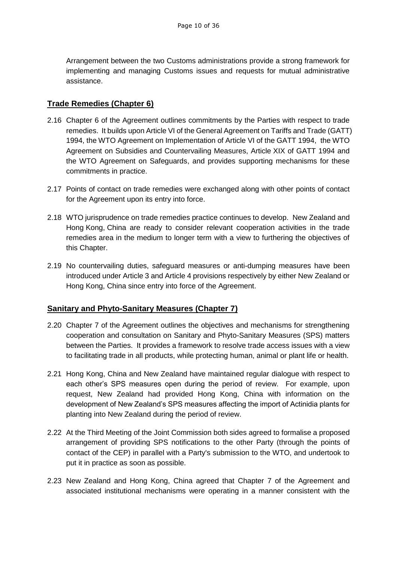Arrangement between the two Customs administrations provide a strong framework for implementing and managing Customs issues and requests for mutual administrative assistance.

## <span id="page-9-0"></span>**Trade Remedies (Chapter 6)**

- 2.16 Chapter 6 of the Agreement outlines commitments by the Parties with respect to trade remedies. It builds upon Article VI of the General Agreement on Tariffs and Trade (GATT) 1994, the WTO Agreement on Implementation of Article VI of the GATT 1994, the WTO Agreement on Subsidies and Countervailing Measures, Article XIX of GATT 1994 and the WTO Agreement on Safeguards, and provides supporting mechanisms for these commitments in practice.
- 2.17 Points of contact on trade remedies were exchanged along with other points of contact for the Agreement upon its entry into force.
- 2.18 WTO jurisprudence on trade remedies practice continues to develop. New Zealand and Hong Kong, China are ready to consider relevant cooperation activities in the trade remedies area in the medium to longer term with a view to furthering the objectives of this Chapter.
- 2.19 No countervailing duties, safeguard measures or anti-dumping measures have been introduced under Article 3 and Article 4 provisions respectively by either New Zealand or Hong Kong, China since entry into force of the Agreement.

## <span id="page-9-1"></span>**Sanitary and Phyto-Sanitary Measures (Chapter 7)**

- 2.20 Chapter 7 of the Agreement outlines the objectives and mechanisms for strengthening cooperation and consultation on Sanitary and Phyto-Sanitary Measures (SPS) matters between the Parties. It provides a framework to resolve trade access issues with a view to facilitating trade in all products, while protecting human, animal or plant life or health.
- 2.21 Hong Kong, China and New Zealand have maintained regular dialogue with respect to each other's SPS measures open during the period of review. For example, upon request, New Zealand had provided Hong Kong, China with information on the development of New Zealand's SPS measures affecting the import of Actinidia plants for planting into New Zealand during the period of review.
- 2.22 At the Third Meeting of the Joint Commission both sides agreed to formalise a proposed arrangement of providing SPS notifications to the other Party (through the points of contact of the CEP) in parallel with a Party's submission to the WTO, and undertook to put it in practice as soon as possible.
- 2.23 New Zealand and Hong Kong, China agreed that Chapter 7 of the Agreement and associated institutional mechanisms were operating in a manner consistent with the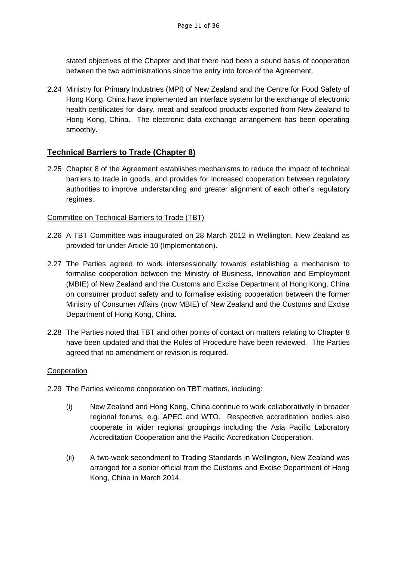stated objectives of the Chapter and that there had been a sound basis of cooperation between the two administrations since the entry into force of the Agreement.

2.24 Ministry for Primary Industries (MPI) of New Zealand and the Centre for Food Safety of Hong Kong, China have implemented an interface system for the exchange of electronic health certificates for dairy, meat and seafood products exported from New Zealand to Hong Kong, China. The electronic data exchange arrangement has been operating smoothly.

## <span id="page-10-0"></span>**Technical Barriers to Trade (Chapter 8)**

2.25 Chapter 8 of the Agreement establishes mechanisms to reduce the impact of technical barriers to trade in goods, and provides for increased cooperation between regulatory authorities to improve understanding and greater alignment of each other's regulatory regimes.

#### Committee on Technical Barriers to Trade (TBT)

- 2.26 A TBT Committee was inaugurated on 28 March 2012 in Wellington, New Zealand as provided for under Article 10 (Implementation).
- 2.27 The Parties agreed to work intersessionally towards establishing a mechanism to formalise cooperation between the Ministry of Business, Innovation and Employment (MBIE) of New Zealand and the Customs and Excise Department of Hong Kong, China on consumer product safety and to formalise existing cooperation between the former Ministry of Consumer Affairs (now MBIE) of New Zealand and the Customs and Excise Department of Hong Kong, China.
- 2.28 The Parties noted that TBT and other points of contact on matters relating to Chapter 8 have been updated and that the Rules of Procedure have been reviewed. The Parties agreed that no amendment or revision is required.

## Cooperation

- 2.29 The Parties welcome cooperation on TBT matters, including:
	- (i) New Zealand and Hong Kong, China continue to work collaboratively in broader regional forums, e.g. APEC and WTO. Respective accreditation bodies also cooperate in wider regional groupings including the Asia Pacific Laboratory Accreditation Cooperation and the Pacific Accreditation Cooperation.
	- (ii) A two-week secondment to Trading Standards in Wellington, New Zealand was arranged for a senior official from the Customs and Excise Department of Hong Kong, China in March 2014.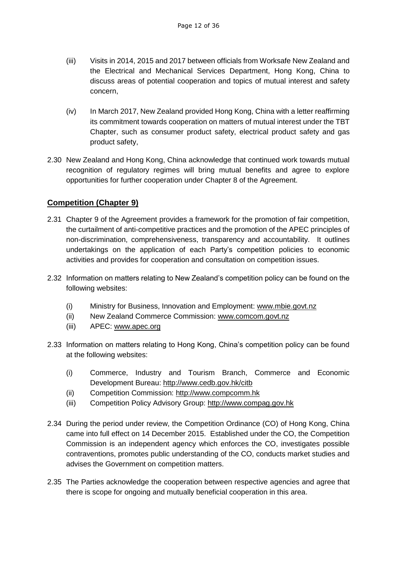- (iii) Visits in 2014, 2015 and 2017 between officials from Worksafe New Zealand and the Electrical and Mechanical Services Department, Hong Kong, China to discuss areas of potential cooperation and topics of mutual interest and safety concern,
- (iv) In March 2017, New Zealand provided Hong Kong, China with a letter reaffirming its commitment towards cooperation on matters of mutual interest under the TBT Chapter, such as consumer product safety, electrical product safety and gas product safety,
- 2.30 New Zealand and Hong Kong, China acknowledge that continued work towards mutual recognition of regulatory regimes will bring mutual benefits and agree to explore opportunities for further cooperation under Chapter 8 of the Agreement.

## <span id="page-11-0"></span>**Competition (Chapter 9)**

- 2.31 Chapter 9 of the Agreement provides a framework for the promotion of fair competition, the curtailment of anti-competitive practices and the promotion of the APEC principles of non-discrimination, comprehensiveness, transparency and accountability. It outlines undertakings on the application of each Party's competition policies to economic activities and provides for cooperation and consultation on competition issues.
- 2.32 Information on matters relating to New Zealand's competition policy can be found on the following websites:
	- (i) Ministry for Business, Innovation and Employment: [www.mbie.govt.nz](http://www.mbie.govt.nz/)
	- (ii) New Zealand Commerce Commission: [www.comcom.govt.nz](http://www.comcom.govt.nz/)
	- (iii) APEC: [www.apec.org](http://www.apec.org/)
- 2.33 Information on matters relating to Hong Kong, China's competition policy can be found at the following websites:
	- (i) Commerce, Industry and Tourism Branch, Commerce and Economic Development Bureau:<http://www.cedb.gov.hk/citb>
	- (ii) Competition Commission: [http://www.compcomm.hk](http://www.compcomm.hk/)
	- (iii) Competition Policy Advisory Group: [http://www.compag.gov.hk](http://www.compag.gov.hk/)
- 2.34 During the period under review, the Competition Ordinance (CO) of Hong Kong, China came into full effect on 14 December 2015. Established under the CO, the Competition Commission is an independent agency which enforces the CO, investigates possible contraventions, promotes public understanding of the CO, conducts market studies and advises the Government on competition matters.
- 2.35 The Parties acknowledge the cooperation between respective agencies and agree that there is scope for ongoing and mutually beneficial cooperation in this area.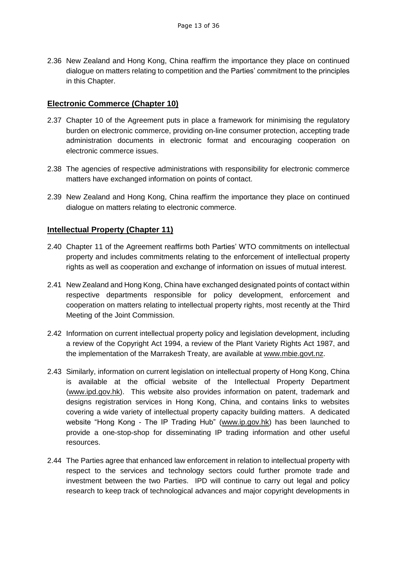2.36 New Zealand and Hong Kong, China reaffirm the importance they place on continued dialogue on matters relating to competition and the Parties' commitment to the principles in this Chapter.

## <span id="page-12-0"></span>**Electronic Commerce (Chapter 10)**

- 2.37 Chapter 10 of the Agreement puts in place a framework for minimising the regulatory burden on electronic commerce, providing on-line consumer protection, accepting trade administration documents in electronic format and encouraging cooperation on electronic commerce issues.
- 2.38 The agencies of respective administrations with responsibility for electronic commerce matters have exchanged information on points of contact.
- 2.39 New Zealand and Hong Kong, China reaffirm the importance they place on continued dialogue on matters relating to electronic commerce.

## <span id="page-12-1"></span>**Intellectual Property (Chapter 11)**

- 2.40 Chapter 11 of the Agreement reaffirms both Parties' WTO commitments on intellectual property and includes commitments relating to the enforcement of intellectual property rights as well as cooperation and exchange of information on issues of mutual interest.
- 2.41 New Zealand and Hong Kong, China have exchanged designated points of contact within respective departments responsible for policy development, enforcement and cooperation on matters relating to intellectual property rights, most recently at the Third Meeting of the Joint Commission.
- 2.42 Information on current intellectual property policy and legislation development, including a review of the Copyright Act 1994, a review of the Plant Variety Rights Act 1987, and the implementation of the Marrakesh Treaty, are available at [www.mbie.govt.nz.](http://www.mbie.govt.nz/)
- 2.43 Similarly, information on current legislation on intellectual property of Hong Kong, China is available at the official website of the Intellectual Property Department [\(www.ipd.gov.hk\)](http://www.ipd.gov.hk/). This website also provides information on patent, trademark and designs registration services in Hong Kong, China, and contains links to websites covering a wide variety of intellectual property capacity building matters. A dedicated website "Hong Kong - The IP Trading Hub" [\(www.ip.gov.hk\)](http://www.ip.gov.hk/) has been launched to provide a one-stop-shop for disseminating IP trading information and other useful resources.
- 2.44 The Parties agree that enhanced law enforcement in relation to intellectual property with respect to the services and technology sectors could further promote trade and investment between the two Parties. IPD will continue to carry out legal and policy research to keep track of technological advances and major copyright developments in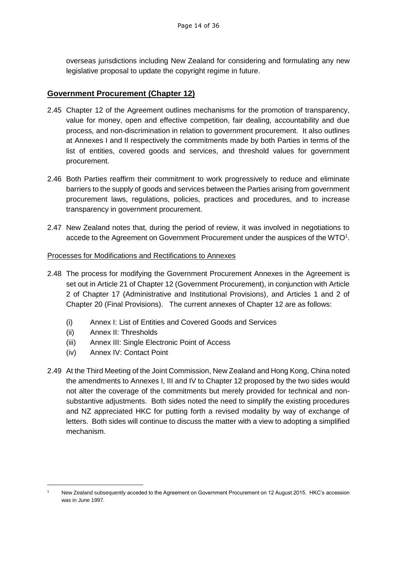overseas jurisdictions including New Zealand for considering and formulating any new legislative proposal to update the copyright regime in future.

## <span id="page-13-0"></span>**Government Procurement (Chapter 12)**

- 2.45 Chapter 12 of the Agreement outlines mechanisms for the promotion of transparency, value for money, open and effective competition, fair dealing, accountability and due process, and non-discrimination in relation to government procurement. It also outlines at Annexes I and II respectively the commitments made by both Parties in terms of the list of entities, covered goods and services, and threshold values for government procurement.
- 2.46 Both Parties reaffirm their commitment to work progressively to reduce and eliminate barriers to the supply of goods and services between the Parties arising from government procurement laws, regulations, policies, practices and procedures, and to increase transparency in government procurement.
- 2.47 New Zealand notes that, during the period of review, it was involved in negotiations to accede to the Agreement on Government Procurement under the auspices of the WTO<sup>1</sup>.

#### Processes for Modifications and Rectifications to Annexes

- 2.48 The process for modifying the Government Procurement Annexes in the Agreement is set out in Article 21 of Chapter 12 (Government Procurement), in conjunction with Article 2 of Chapter 17 (Administrative and Institutional Provisions), and Articles 1 and 2 of Chapter 20 (Final Provisions). The current annexes of Chapter 12 are as follows:
	- (i) Annex I: List of Entities and Covered Goods and Services
	- (ii) Annex II: Thresholds

1

- (iii) Annex III: Single Electronic Point of Access
- (iv) Annex IV: Contact Point
- 2.49 At the Third Meeting of the Joint Commission, New Zealand and Hong Kong, China noted the amendments to Annexes I, III and IV to Chapter 12 proposed by the two sides would not alter the coverage of the commitments but merely provided for technical and nonsubstantive adjustments. Both sides noted the need to simplify the existing procedures and NZ appreciated HKC for putting forth a revised modality by way of exchange of letters. Both sides will continue to discuss the matter with a view to adopting a simplified mechanism.

<sup>1</sup> New Zealand subsequently acceded to the Agreement on Government Procurement on 12 August 2015. HKC's accession was in June 1997.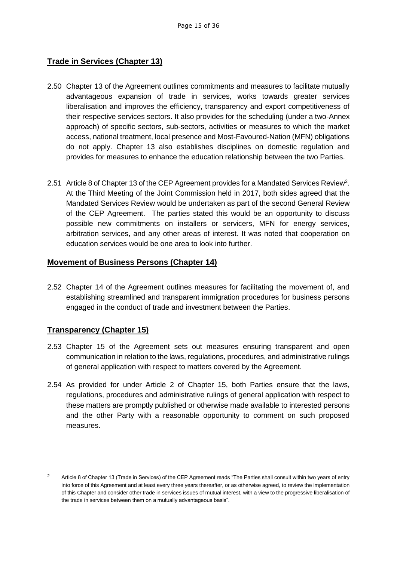## <span id="page-14-0"></span>**Trade in Services (Chapter 13)**

- 2.50 Chapter 13 of the Agreement outlines commitments and measures to facilitate mutually advantageous expansion of trade in services, works towards greater services liberalisation and improves the efficiency, transparency and export competitiveness of their respective services sectors. It also provides for the scheduling (under a two-Annex approach) of specific sectors, sub-sectors, activities or measures to which the market access, national treatment, local presence and Most-Favoured-Nation (MFN) obligations do not apply. Chapter 13 also establishes disciplines on domestic regulation and provides for measures to enhance the education relationship between the two Parties.
- 2.51 Article 8 of Chapter 13 of the CEP Agreement provides for a Mandated Services Review<sup>2</sup>. At the Third Meeting of the Joint Commission held in 2017, both sides agreed that the Mandated Services Review would be undertaken as part of the second General Review of the CEP Agreement. The parties stated this would be an opportunity to discuss possible new commitments on installers or servicers, MFN for energy services, arbitration services, and any other areas of interest. It was noted that cooperation on education services would be one area to look into further.

## <span id="page-14-1"></span>**Movement of Business Persons (Chapter 14)**

2.52 Chapter 14 of the Agreement outlines measures for facilitating the movement of, and establishing streamlined and transparent immigration procedures for business persons engaged in the conduct of trade and investment between the Parties.

## <span id="page-14-2"></span>**Transparency (Chapter 15)**

-

- 2.53 Chapter 15 of the Agreement sets out measures ensuring transparent and open communication in relation to the laws, regulations, procedures, and administrative rulings of general application with respect to matters covered by the Agreement.
- 2.54 As provided for under Article 2 of Chapter 15, both Parties ensure that the laws, regulations, procedures and administrative rulings of general application with respect to these matters are promptly published or otherwise made available to interested persons and the other Party with a reasonable opportunity to comment on such proposed measures.

<sup>&</sup>lt;sup>2</sup> Article 8 of Chapter 13 (Trade in Services) of the CEP Agreement reads "The Parties shall consult within two years of entry into force of this Agreement and at least every three years thereafter, or as otherwise agreed, to review the implementation of this Chapter and consider other trade in services issues of mutual interest, with a view to the progressive liberalisation of the trade in services between them on a mutually advantageous basis".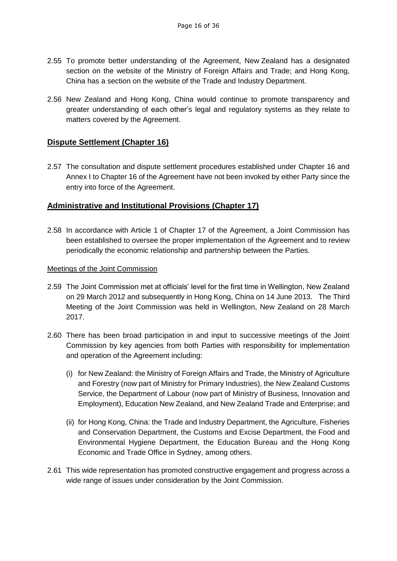- 2.55 To promote better understanding of the Agreement, New Zealand has a designated section on the website of the Ministry of Foreign Affairs and Trade; and Hong Kong, China has a section on the website of the Trade and Industry Department.
- 2.56 New Zealand and Hong Kong, China would continue to promote transparency and greater understanding of each other's legal and regulatory systems as they relate to matters covered by the Agreement.

## <span id="page-15-0"></span>**Dispute Settlement (Chapter 16)**

2.57 The consultation and dispute settlement procedures established under Chapter 16 and Annex I to Chapter 16 of the Agreement have not been invoked by either Party since the entry into force of the Agreement.

## <span id="page-15-1"></span>**Administrative and Institutional Provisions (Chapter 17)**

2.58 In accordance with Article 1 of Chapter 17 of the Agreement, a Joint Commission has been established to oversee the proper implementation of the Agreement and to review periodically the economic relationship and partnership between the Parties.

## Meetings of the Joint Commission

- 2.59 The Joint Commission met at officials' level for the first time in Wellington, New Zealand on 29 March 2012 and subsequently in Hong Kong, China on 14 June 2013. The Third Meeting of the Joint Commission was held in Wellington, New Zealand on 28 March 2017.
- 2.60 There has been broad participation in and input to successive meetings of the Joint Commission by key agencies from both Parties with responsibility for implementation and operation of the Agreement including:
	- (i) for New Zealand: the Ministry of Foreign Affairs and Trade, the Ministry of Agriculture and Forestry (now part of Ministry for Primary Industries), the New Zealand Customs Service, the Department of Labour (now part of Ministry of Business, Innovation and Employment), Education New Zealand, and New Zealand Trade and Enterprise; and
	- (ii) for Hong Kong, China: the Trade and Industry Department, the Agriculture, Fisheries and Conservation Department, the Customs and Excise Department, the Food and Environmental Hygiene Department, the Education Bureau and the Hong Kong Economic and Trade Office in Sydney, among others.
- 2.61 This wide representation has promoted constructive engagement and progress across a wide range of issues under consideration by the Joint Commission.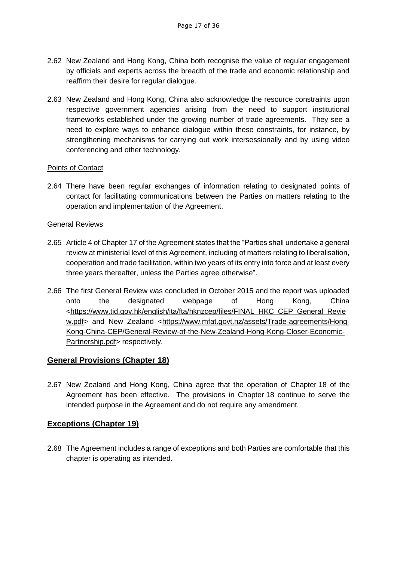- 2.62 New Zealand and Hong Kong, China both recognise the value of regular engagement by officials and experts across the breadth of the trade and economic relationship and reaffirm their desire for regular dialogue.
- 2.63 New Zealand and Hong Kong, China also acknowledge the resource constraints upon respective government agencies arising from the need to support institutional frameworks established under the growing number of trade agreements. They see a need to explore ways to enhance dialogue within these constraints, for instance, by strengthening mechanisms for carrying out work intersessionally and by using video conferencing and other technology.

#### Points of Contact

2.64 There have been regular exchanges of information relating to designated points of contact for facilitating communications between the Parties on matters relating to the operation and implementation of the Agreement.

#### General Reviews

- 2.65 Article 4 of Chapter 17 of the Agreement states that the "Parties shall undertake a general review at ministerial level of this Agreement, including of matters relating to liberalisation, cooperation and trade facilitation, within two years of its entry into force and at least every three years thereafter, unless the Parties agree otherwise".
- 2.66 The first General Review was concluded in October 2015 and the report was uploaded onto the designated webpage of Hong Kong, China [<https://www.tid.gov.hk/english/ita/fta/hknzcep/files/FINAL\\_HKC\\_CEP\\_General\\_Revie](https://www.tid.gov.hk/english/ita/fta/hknzcep/files/FINAL_HKC_CEP_General_Review.pdf) [w.pdf>](https://www.tid.gov.hk/english/ita/fta/hknzcep/files/FINAL_HKC_CEP_General_Review.pdf) and New Zealand [<https://www.mfat.govt.nz/assets/Trade-agreements/Hong-](https://www.mfat.govt.nz/assets/Trade-agreements/Hong-Kong-China-CEP/General-Review-of-the-New-Zealand-Hong-Kong-Closer-Economic-Partnership.pdf)[Kong-China-CEP/General-Review-of-the-New-Zealand-Hong-Kong-Closer-Economic-](https://www.mfat.govt.nz/assets/Trade-agreements/Hong-Kong-China-CEP/General-Review-of-the-New-Zealand-Hong-Kong-Closer-Economic-Partnership.pdf)[Partnership.pdf>](https://www.mfat.govt.nz/assets/Trade-agreements/Hong-Kong-China-CEP/General-Review-of-the-New-Zealand-Hong-Kong-Closer-Economic-Partnership.pdf) respectively.

## <span id="page-16-0"></span>**General Provisions (Chapter 18)**

2.67 New Zealand and Hong Kong, China agree that the operation of Chapter 18 of the Agreement has been effective. The provisions in Chapter 18 continue to serve the intended purpose in the Agreement and do not require any amendment.

## <span id="page-16-1"></span>**Exceptions (Chapter 19)**

2.68 The Agreement includes a range of exceptions and both Parties are comfortable that this chapter is operating as intended.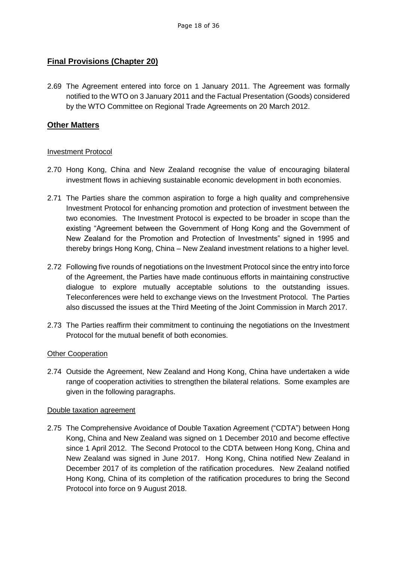## <span id="page-17-0"></span>**Final Provisions (Chapter 20)**

2.69 The Agreement entered into force on 1 January 2011. The Agreement was formally notified to the WTO on 3 January 2011 and the Factual Presentation (Goods) considered by the WTO Committee on Regional Trade Agreements on 20 March 2012.

## <span id="page-17-1"></span>**Other Matters**

#### Investment Protocol

- 2.70 Hong Kong, China and New Zealand recognise the value of encouraging bilateral investment flows in achieving sustainable economic development in both economies.
- 2.71 The Parties share the common aspiration to forge a high quality and comprehensive Investment Protocol for enhancing promotion and protection of investment between the two economies. The Investment Protocol is expected to be broader in scope than the existing "Agreement between the Government of Hong Kong and the Government of New Zealand for the Promotion and Protection of Investments" signed in 1995 and thereby brings Hong Kong, China – New Zealand investment relations to a higher level.
- 2.72 Following five rounds of negotiations on the Investment Protocol since the entry into force of the Agreement, the Parties have made continuous efforts in maintaining constructive dialogue to explore mutually acceptable solutions to the outstanding issues. Teleconferences were held to exchange views on the Investment Protocol. The Parties also discussed the issues at the Third Meeting of the Joint Commission in March 2017.
- 2.73 The Parties reaffirm their commitment to continuing the negotiations on the Investment Protocol for the mutual benefit of both economies.

#### Other Cooperation

2.74 Outside the Agreement, New Zealand and Hong Kong, China have undertaken a wide range of cooperation activities to strengthen the bilateral relations. Some examples are given in the following paragraphs.

#### Double taxation agreement

2.75 The Comprehensive Avoidance of Double Taxation Agreement ("CDTA") between Hong Kong, China and New Zealand was signed on 1 December 2010 and become effective since 1 April 2012. The Second Protocol to the CDTA between Hong Kong, China and New Zealand was signed in June 2017. Hong Kong, China notified New Zealand in December 2017 of its completion of the ratification procedures. New Zealand notified Hong Kong, China of its completion of the ratification procedures to bring the Second Protocol into force on 9 August 2018.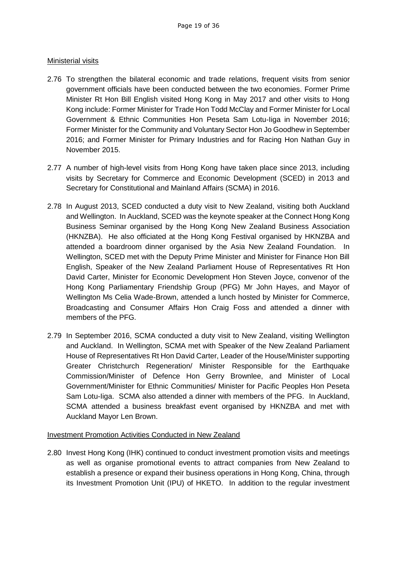## Ministerial visits

- 2.76 To strengthen the bilateral economic and trade relations, frequent visits from senior government officials have been conducted between the two economies. Former Prime Minister Rt Hon Bill English visited Hong Kong in May 2017 and other visits to Hong Kong include: Former Minister for Trade Hon Todd McClay and Former Minister for Local Government & Ethnic Communities Hon Peseta Sam Lotu-Iiga in November 2016; Former Minister for the Community and Voluntary Sector Hon Jo Goodhew in September 2016; and Former Minister for Primary Industries and for Racing Hon Nathan Guy in November 2015.
- 2.77 A number of high-level visits from Hong Kong have taken place since 2013, including visits by Secretary for Commerce and Economic Development (SCED) in 2013 and Secretary for Constitutional and Mainland Affairs (SCMA) in 2016.
- 2.78 In August 2013, SCED conducted a duty visit to New Zealand, visiting both Auckland and Wellington. In Auckland, SCED was the keynote speaker at the Connect Hong Kong Business Seminar organised by the Hong Kong New Zealand Business Association (HKNZBA). He also officiated at the Hong Kong Festival organised by HKNZBA and attended a boardroom dinner organised by the Asia New Zealand Foundation. In Wellington, SCED met with the Deputy Prime Minister and Minister for Finance Hon Bill English, Speaker of the New Zealand Parliament House of Representatives Rt Hon David Carter, Minister for Economic Development Hon Steven Joyce, convenor of the Hong Kong Parliamentary Friendship Group (PFG) Mr John Hayes, and Mayor of Wellington Ms Celia Wade-Brown, attended a lunch hosted by Minister for Commerce, Broadcasting and Consumer Affairs Hon Craig Foss and attended a dinner with members of the PFG.
- 2.79 In September 2016, SCMA conducted a duty visit to New Zealand, visiting Wellington and Auckland. In Wellington, SCMA met with Speaker of the New Zealand Parliament House of Representatives Rt Hon David Carter, Leader of the House/Minister supporting Greater Christchurch Regeneration/ Minister Responsible for the Earthquake Commission/Minister of Defence Hon Gerry Brownlee, and Minister of Local Government/Minister for Ethnic Communities/ Minister for Pacific Peoples Hon Peseta Sam Lotu-Iiga. SCMA also attended a dinner with members of the PFG. In Auckland, SCMA attended a business breakfast event organised by HKNZBA and met with Auckland Mayor Len Brown.

## Investment Promotion Activities Conducted in New Zealand

2.80 Invest Hong Kong (IHK) continued to conduct investment promotion visits and meetings as well as organise promotional events to attract companies from New Zealand to establish a presence or expand their business operations in Hong Kong, China, through its Investment Promotion Unit (IPU) of HKETO. In addition to the regular investment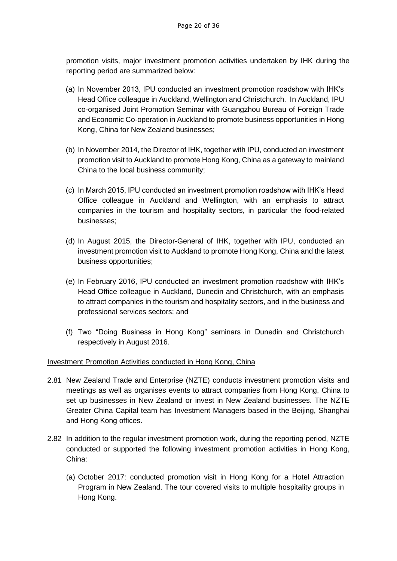promotion visits, major investment promotion activities undertaken by IHK during the reporting period are summarized below:

- (a) In November 2013, IPU conducted an investment promotion roadshow with IHK's Head Office colleague in Auckland, Wellington and Christchurch. In Auckland, IPU co-organised Joint Promotion Seminar with Guangzhou Bureau of Foreign Trade and Economic Co-operation in Auckland to promote business opportunities in Hong Kong, China for New Zealand businesses;
- (b) In November 2014, the Director of IHK, together with IPU, conducted an investment promotion visit to Auckland to promote Hong Kong, China as a gateway to mainland China to the local business community;
- (c) In March 2015, IPU conducted an investment promotion roadshow with IHK's Head Office colleague in Auckland and Wellington, with an emphasis to attract companies in the tourism and hospitality sectors, in particular the food-related businesses;
- (d) In August 2015, the Director-General of IHK, together with IPU, conducted an investment promotion visit to Auckland to promote Hong Kong, China and the latest business opportunities;
- (e) In February 2016, IPU conducted an investment promotion roadshow with IHK's Head Office colleague in Auckland, Dunedin and Christchurch, with an emphasis to attract companies in the tourism and hospitality sectors, and in the business and professional services sectors; and
- (f) Two "Doing Business in Hong Kong" seminars in Dunedin and Christchurch respectively in August 2016.

## Investment Promotion Activities conducted in Hong Kong, China

- 2.81 New Zealand Trade and Enterprise (NZTE) conducts investment promotion visits and meetings as well as organises events to attract companies from Hong Kong, China to set up businesses in New Zealand or invest in New Zealand businesses. The NZTE Greater China Capital team has Investment Managers based in the Beijing, Shanghai and Hong Kong offices.
- 2.82 In addition to the regular investment promotion work, during the reporting period, NZTE conducted or supported the following investment promotion activities in Hong Kong, China:
	- (a) October 2017: conducted promotion visit in Hong Kong for a Hotel Attraction Program in New Zealand. The tour covered visits to multiple hospitality groups in Hong Kong.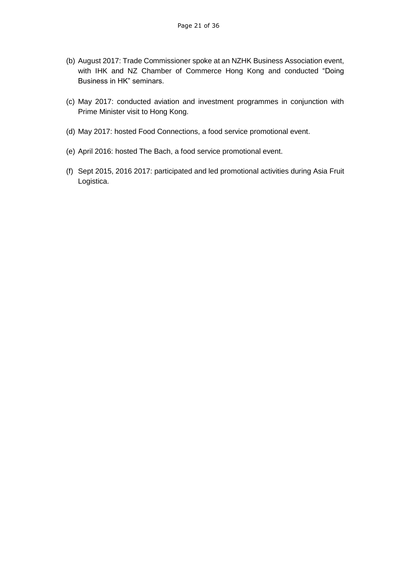- (b) August 2017: Trade Commissioner spoke at an NZHK Business Association event, with IHK and NZ Chamber of Commerce Hong Kong and conducted "Doing Business in HK" seminars.
- (c) May 2017: conducted aviation and investment programmes in conjunction with Prime Minister visit to Hong Kong.
- (d) May 2017: hosted Food Connections, a food service promotional event.
- (e) April 2016: hosted The Bach, a food service promotional event.
- (f) Sept 2015, 2016 2017: participated and led promotional activities during Asia Fruit Logistica.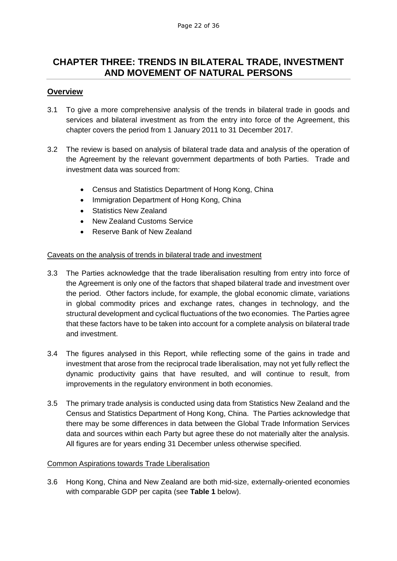# <span id="page-21-0"></span>**CHAPTER THREE: TRENDS IN BILATERAL TRADE, INVESTMENT AND MOVEMENT OF NATURAL PERSONS**

#### <span id="page-21-1"></span>**Overview**

- 3.1 To give a more comprehensive analysis of the trends in bilateral trade in goods and services and bilateral investment as from the entry into force of the Agreement, this chapter covers the period from 1 January 2011 to 31 December 2017.
- 3.2 The review is based on analysis of bilateral trade data and analysis of the operation of the Agreement by the relevant government departments of both Parties. Trade and investment data was sourced from:
	- Census and Statistics Department of Hong Kong, China
	- Immigration Department of Hong Kong, China
	- Statistics New Zealand
	- New Zealand Customs Service
	- Reserve Bank of New Zealand

#### Caveats on the analysis of trends in bilateral trade and investment

- 3.3 The Parties acknowledge that the trade liberalisation resulting from entry into force of the Agreement is only one of the factors that shaped bilateral trade and investment over the period. Other factors include, for example, the global economic climate, variations in global commodity prices and exchange rates, changes in technology, and the structural development and cyclical fluctuations of the two economies. The Parties agree that these factors have to be taken into account for a complete analysis on bilateral trade and investment.
- 3.4 The figures analysed in this Report, while reflecting some of the gains in trade and investment that arose from the reciprocal trade liberalisation, may not yet fully reflect the dynamic productivity gains that have resulted, and will continue to result, from improvements in the regulatory environment in both economies.
- 3.5 The primary trade analysis is conducted using data from Statistics New Zealand and the Census and Statistics Department of Hong Kong, China. The Parties acknowledge that there may be some differences in data between the Global Trade Information Services data and sources within each Party but agree these do not materially alter the analysis. All figures are for years ending 31 December unless otherwise specified.

#### Common Aspirations towards Trade Liberalisation

3.6 Hong Kong, China and New Zealand are both mid-size, externally-oriented economies with comparable GDP per capita (see **Table 1** below).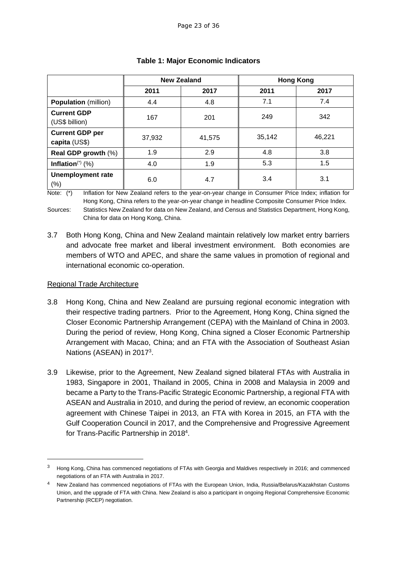|                                         | <b>New Zealand</b> |        | <b>Hong Kong</b> |        |
|-----------------------------------------|--------------------|--------|------------------|--------|
|                                         | 2011               | 2017   | 2011             | 2017   |
| <b>Population</b> (million)             | 4.4                | 4.8    | 7.1              | 7.4    |
| <b>Current GDP</b><br>(US\$ billion)    | 167                | 201    | 249              | 342    |
| <b>Current GDP per</b><br>capita (US\$) | 37,932             | 41,575 | 35,142           | 46,221 |
| Real GDP growth (%)                     | 1.9                | 2.9    | 4.8              | 3.8    |
| Inflation $(*)$ (%)                     | 4.0                | 1.9    | 5.3              | 1.5    |
| <b>Unemployment rate</b><br>$(\% )$     | 6.0                | 4.7    | 3.4              | 3.1    |

## **Table 1: Major Economic Indicators**

Note: (\*) Inflation for New Zealand refers to the year-on-year change in Consumer Price Index; inflation for Hong Kong, China refers to the year-on-year change in headline Composite Consumer Price Index. Sources: Statistics New Zealand for data on New Zealand, and Census and Statistics Department, Hong Kong, China for data on Hong Kong, China.

3.7 Both Hong Kong, China and New Zealand maintain relatively low market entry barriers and advocate free market and liberal investment environment. Both economies are members of WTO and APEC, and share the same values in promotion of regional and international economic co-operation.

## Regional Trade Architecture

1

- 3.8 Hong Kong, China and New Zealand are pursuing regional economic integration with their respective trading partners. Prior to the Agreement, Hong Kong, China signed the Closer Economic Partnership Arrangement (CEPA) with the Mainland of China in 2003. During the period of review, Hong Kong, China signed a Closer Economic Partnership Arrangement with Macao, China; and an FTA with the Association of Southeast Asian Nations (ASEAN) in 2017<sup>3</sup>.
- 3.9 Likewise, prior to the Agreement, New Zealand signed bilateral FTAs with Australia in 1983, Singapore in 2001, Thailand in 2005, China in 2008 and Malaysia in 2009 and became a Party to the Trans-Pacific Strategic Economic Partnership, a regional FTA with ASEAN and Australia in 2010, and during the period of review, an economic cooperation agreement with Chinese Taipei in 2013, an FTA with Korea in 2015, an FTA with the Gulf Cooperation Council in 2017, and the Comprehensive and Progressive Agreement for Trans-Pacific Partnership in 2018<sup>4</sup>.

<sup>&</sup>lt;sup>3</sup> Hong Kong, China has commenced negotiations of FTAs with Georgia and Maldives respectively in 2016; and commenced negotiations of an FTA with Australia in 2017.

New Zealand has commenced negotiations of FTAs with the European Union, India, Russia/Belarus/Kazakhstan Customs Union, and the upgrade of FTA with China. New Zealand is also a participant in ongoing Regional Comprehensive Economic Partnership (RCEP) negotiation.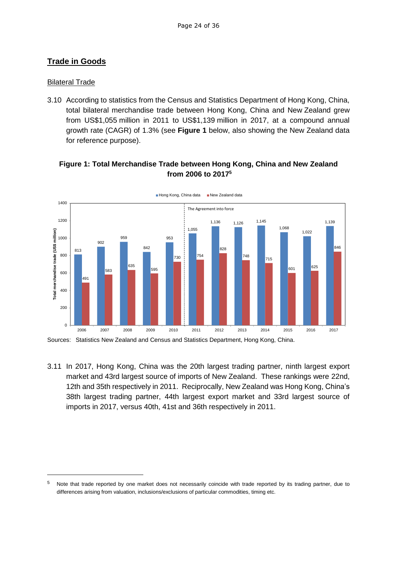## <span id="page-23-0"></span>**Trade in Goods**

#### **Bilateral Trade**

1

3.10 According to statistics from the Census and Statistics Department of Hong Kong, China, total bilateral merchandise trade between Hong Kong, China and New Zealand grew from US\$1,055 million in 2011 to US\$1,139 million in 2017, at a compound annual growth rate (CAGR) of 1.3% (see **Figure 1** below, also showing the New Zealand data for reference purpose).

## **Figure 1: Total Merchandise Trade between Hong Kong, China and New Zealand from 2006 to 2017 5**



Sources: Statistics New Zealand and Census and Statistics Department, Hong Kong, China.

3.11 In 2017, Hong Kong, China was the 20th largest trading partner, ninth largest export market and 43rd largest source of imports of New Zealand. These rankings were 22nd, 12th and 35th respectively in 2011. Reciprocally, New Zealand was Hong Kong, China's 38th largest trading partner, 44th largest export market and 33rd largest source of imports in 2017, versus 40th, 41st and 36th respectively in 2011.

 $5$  Note that trade reported by one market does not necessarily coincide with trade reported by its trading partner, due to differences arising from valuation, inclusions/exclusions of particular commodities, timing etc.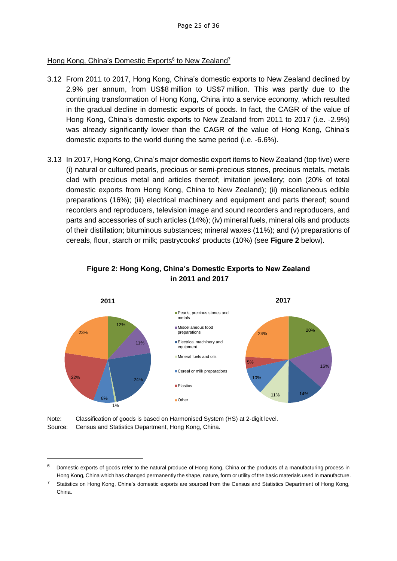## Hong Kong, China's Domestic Exports<sup>6</sup> to New Zealand<sup>7</sup>

- 3.12 From 2011 to 2017, Hong Kong, China's domestic exports to New Zealand declined by 2.9% per annum, from US\$8 million to US\$7 million. This was partly due to the continuing transformation of Hong Kong, China into a service economy, which resulted in the gradual decline in domestic exports of goods. In fact, the CAGR of the value of Hong Kong, China's domestic exports to New Zealand from 2011 to 2017 (i.e. -2.9%) was already significantly lower than the CAGR of the value of Hong Kong, China's domestic exports to the world during the same period (i.e. -6.6%).
- 3.13 In 2017, Hong Kong, China's major domestic export items to New Zealand (top five) were (i) natural or cultured pearls, precious or semi-precious stones, precious metals, metals clad with precious metal and articles thereof; imitation jewellery; coin (20% of total domestic exports from Hong Kong, China to New Zealand); (ii) miscellaneous edible preparations (16%); (iii) electrical machinery and equipment and parts thereof; sound recorders and reproducers, television image and sound recorders and reproducers, and parts and accessories of such articles (14%); (iv) mineral fuels, mineral oils and products of their distillation; bituminous substances; mineral waxes (11%); and (v) preparations of cereals, flour, starch or milk; pastrycooks' products (10%) (see **Figure 2** below).



## **Figure 2: Hong Kong, China's Domestic Exports to New Zealand in 2011 and 2017**

Note: Classification of goods is based on Harmonised System (HS) at 2-digit level. Source: Census and Statistics Department, Hong Kong, China.

-

<sup>6</sup> Domestic exports of goods refer to the natural produce of Hong Kong, China or the products of a manufacturing process in Hong Kong, China which has changed permanently the shape, nature, form or utility of the basic materials used in manufacture.

<sup>7</sup> Statistics on Hong Kong, China's domestic exports are sourced from the Census and Statistics Department of Hong Kong, China.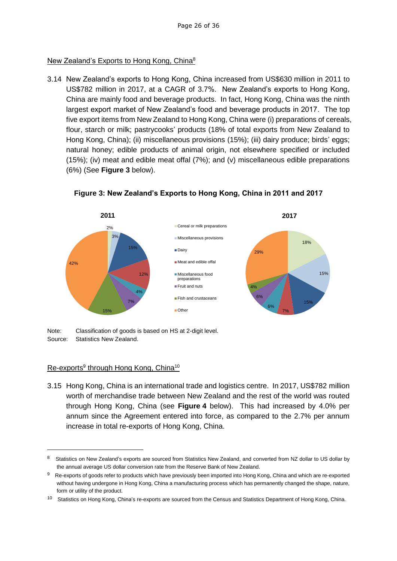## New Zealand's Exports to Hong Kong, China<sup>8</sup>

3.14 New Zealand's exports to Hong Kong, China increased from US\$630 million in 2011 to US\$782 million in 2017, at a CAGR of 3.7%. New Zealand's exports to Hong Kong, China are mainly food and beverage products. In fact, Hong Kong, China was the ninth largest export market of New Zealand's food and beverage products in 2017. The top five export items from New Zealand to Hong Kong, China were (i) preparations of cereals, flour, starch or milk; pastrycooks' products (18% of total exports from New Zealand to Hong Kong, China); (ii) miscellaneous provisions (15%); (iii) dairy produce; birds' eggs; natural honey; edible products of animal origin, not elsewhere specified or included (15%); (iv) meat and edible meat offal (7%); and (v) miscellaneous edible preparations (6%) (See **Figure 3** below).



**Figure 3: New Zealand's Exports to Hong Kong, China in 2011 and 2017**

Note: Classification of goods is based on HS at 2-digit level. Source: Statistics New Zealand.

## Re-exports<sup>9</sup> through Hong Kong, China<sup>10</sup>

1

3.15 Hong Kong, China is an international trade and logistics centre. In 2017, US\$782 million worth of merchandise trade between New Zealand and the rest of the world was routed through Hong Kong, China (see **Figure 4** below). This had increased by 4.0% per annum since the Agreement entered into force, as compared to the 2.7% per annum increase in total re-exports of Hong Kong, China.

<sup>8</sup> Statistics on New Zealand's exports are sourced from Statistics New Zealand, and converted from NZ dollar to US dollar by the annual average US dollar conversion rate from the Reserve Bank of New Zealand.

<sup>9</sup> Re-exports of goods refer to products which have previously been imported into Hong Kong, China and which are re-exported without having undergone in Hong Kong, China a manufacturing process which has permanently changed the shape, nature, form or utility of the product.

<sup>10</sup> Statistics on Hong Kong, China's re-exports are sourced from the Census and Statistics Department of Hong Kong, China.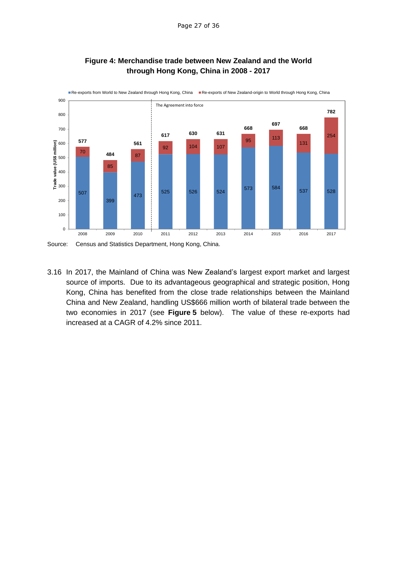

#### **Figure 4: Merchandise trade between New Zealand and the World through Hong Kong, China in 2008 - 2017**

3.16 In 2017, the Mainland of China was New Zealand's largest export market and largest source of imports. Due to its advantageous geographical and strategic position, Hong Kong, China has benefited from the close trade relationships between the Mainland China and New Zealand, handling US\$666 million worth of bilateral trade between the two economies in 2017 (see **Figure 5** below). The value of these re-exports had increased at a CAGR of 4.2% since 2011.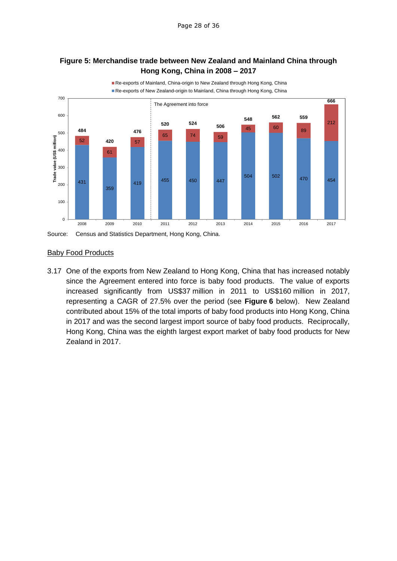## **Figure 5: Merchandise trade between New Zealand and Mainland China through Hong Kong, China in 2008 – 2017**



#### Baby Food Products

3.17 One of the exports from New Zealand to Hong Kong, China that has increased notably since the Agreement entered into force is baby food products. The value of exports increased significantly from US\$37 million in 2011 to US\$160 million in 2017, representing a CAGR of 27.5% over the period (see **Figure 6** below). New Zealand contributed about 15% of the total imports of baby food products into Hong Kong, China in 2017 and was the second largest import source of baby food products. Reciprocally, Hong Kong, China was the eighth largest export market of baby food products for New Zealand in 2017.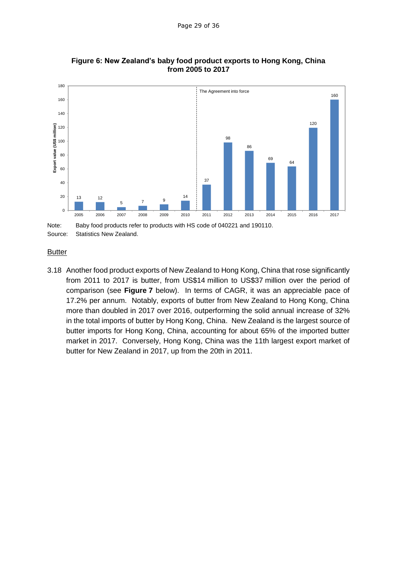

#### **Figure 6: New Zealand's baby food product exports to Hong Kong, China from 2005 to 2017**

**Butter** 

3.18 Another food product exports of New Zealand to Hong Kong, China that rose significantly from 2011 to 2017 is butter, from US\$14 million to US\$37 million over the period of comparison (see **Figure 7** below). In terms of CAGR, it was an appreciable pace of 17.2% per annum. Notably, exports of butter from New Zealand to Hong Kong, China more than doubled in 2017 over 2016, outperforming the solid annual increase of 32% in the total imports of butter by Hong Kong, China. New Zealand is the largest source of butter imports for Hong Kong, China, accounting for about 65% of the imported butter market in 2017. Conversely, Hong Kong, China was the 11th largest export market of butter for New Zealand in 2017, up from the 20th in 2011.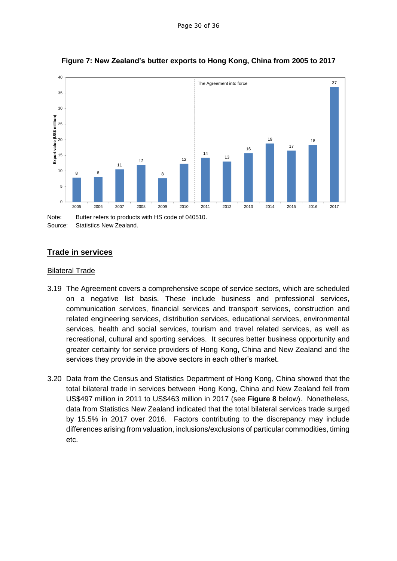

**Figure 7: New Zealand's butter exports to Hong Kong, China from 2005 to 2017**

Note: Butter refers to products with HS code of 040510. Source: Statistics New Zealand.

## <span id="page-29-0"></span>**Trade in services**

#### **Bilateral Trade**

- 3.19 The Agreement covers a comprehensive scope of service sectors, which are scheduled on a negative list basis. These include business and professional services, communication services, financial services and transport services, construction and related engineering services, distribution services, educational services, environmental services, health and social services, tourism and travel related services, as well as recreational, cultural and sporting services. It secures better business opportunity and greater certainty for service providers of Hong Kong, China and New Zealand and the services they provide in the above sectors in each other's market.
- 3.20 Data from the Census and Statistics Department of Hong Kong, China showed that the total bilateral trade in services between Hong Kong, China and New Zealand fell from US\$497 million in 2011 to US\$463 million in 2017 (see **Figure 8** below). Nonetheless, data from Statistics New Zealand indicated that the total bilateral services trade surged by 15.5% in 2017 over 2016. Factors contributing to the discrepancy may include differences arising from valuation, inclusions/exclusions of particular commodities, timing etc.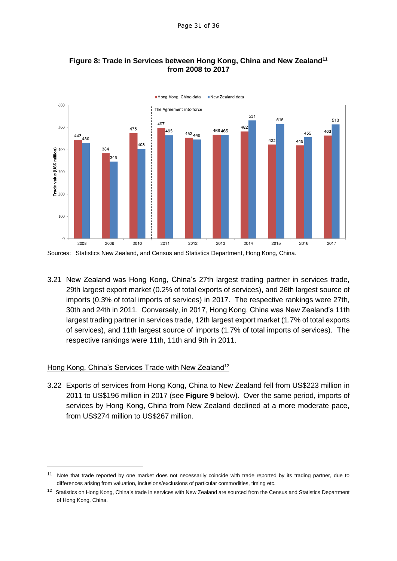

## **Figure 8: Trade in Services between Hong Kong, China and New Zealand<sup>11</sup> from 2008 to 2017**

3.21 New Zealand was Hong Kong, China's 27th largest trading partner in services trade, 29th largest export market (0.2% of total exports of services), and 26th largest source of imports (0.3% of total imports of services) in 2017. The respective rankings were 27th, 30th and 24th in 2011. Conversely, in 2017, Hong Kong, China was New Zealand's 11th largest trading partner in services trade, 12th largest export market (1.7% of total exports of services), and 11th largest source of imports (1.7% of total imports of services). The respective rankings were 11th, 11th and 9th in 2011.

## Hong Kong, China's Services Trade with New Zealand<sup>12</sup>

3.22 Exports of services from Hong Kong, China to New Zealand fell from US\$223 million in 2011 to US\$196 million in 2017 (see **Figure 9** below). Over the same period, imports of services by Hong Kong, China from New Zealand declined at a more moderate pace, from US\$274 million to US\$267 million.

<sup>&</sup>lt;sup>11</sup> Note that trade reported by one market does not necessarily coincide with trade reported by its trading partner, due to differences arising from valuation, inclusions/exclusions of particular commodities, timing etc.

<sup>&</sup>lt;sup>12</sup> Statistics on Hong Kong, China's trade in services with New Zealand are sourced from the Census and Statistics Department of Hong Kong, China.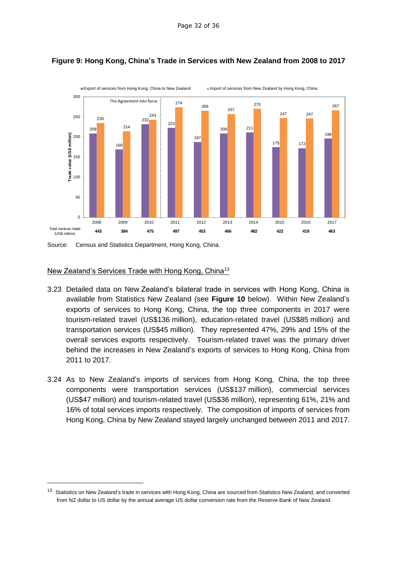

## **Figure 9: Hong Kong, China's Trade in Services with New Zealand from 2008 to 2017**

Source: Census and Statistics Department, Hong Kong, China.

#### New Zealand's Services Trade with Hong Kong, China<sup>13</sup>

-

- 3.23 Detailed data on New Zealand's bilateral trade in services with Hong Kong, China is available from Statistics New Zealand (see **Figure 10** below). Within New Zealand's exports of services to Hong Kong, China, the top three components in 2017 were tourism-related travel (US\$136 million), education-related travel (US\$85 million) and transportation services (US\$45 million). They represented 47%, 29% and 15% of the overall services exports respectively. Tourism-related travel was the primary driver behind the increases in New Zealand's exports of services to Hong Kong, China from 2011 to 2017.
- 3.24 As to New Zealand's imports of services from Hong Kong, China, the top three components were transportation services (US\$137 million), commercial services (US\$47 million) and tourism-related travel (US\$36 million), representing 61%, 21% and 16% of total services imports respectively. The composition of imports of services from Hong Kong, China by New Zealand stayed largely unchanged between 2011 and 2017.

<sup>&</sup>lt;sup>13</sup> Statistics on New Zealand's trade in services with Hong Kong, China are sourced from Statistics New Zealand, and converted from NZ dollar to US dollar by the annual average US dollar conversion rate from the Reserve Bank of New Zealand.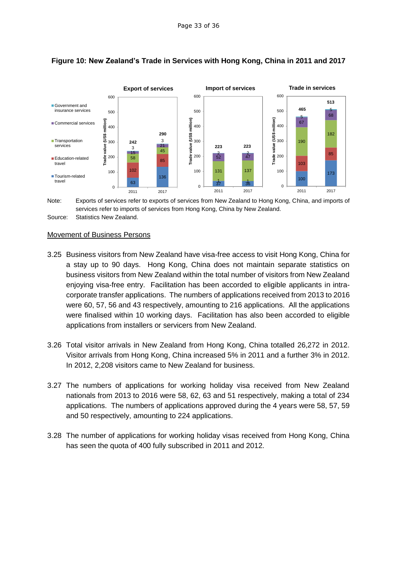

## **Figure 10: New Zealand's Trade in Services with Hong Kong, China in 2011 and 2017**



#### Movement of Business Persons

- 3.25 Business visitors from New Zealand have visa-free access to visit Hong Kong, China for a stay up to 90 days. Hong Kong, China does not maintain separate statistics on business visitors from New Zealand within the total number of visitors from New Zealand enjoying visa-free entry. Facilitation has been accorded to eligible applicants in intracorporate transfer applications. The numbers of applications received from 2013 to 2016 were 60, 57, 56 and 43 respectively, amounting to 216 applications. All the applications were finalised within 10 working days. Facilitation has also been accorded to eligible applications from installers or servicers from New Zealand.
- 3.26 Total visitor arrivals in New Zealand from Hong Kong, China totalled 26,272 in 2012. Visitor arrivals from Hong Kong, China increased 5% in 2011 and a further 3% in 2012. In 2012, 2,208 visitors came to New Zealand for business.
- 3.27 The numbers of applications for working holiday visa received from New Zealand nationals from 2013 to 2016 were 58, 62, 63 and 51 respectively, making a total of 234 applications. The numbers of applications approved during the 4 years were 58, 57, 59 and 50 respectively, amounting to 224 applications.
- 3.28 The number of applications for working holiday visas received from Hong Kong, China has seen the quota of 400 fully subscribed in 2011 and 2012.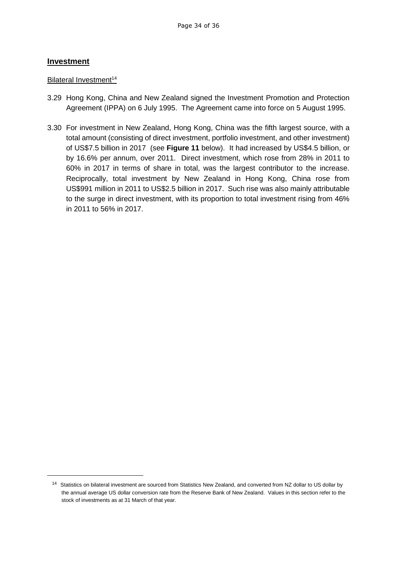## <span id="page-33-0"></span>**Investment**

#### Bilateral Investment<sup>14</sup>

- 3.29 Hong Kong, China and New Zealand signed the Investment Promotion and Protection Agreement (IPPA) on 6 July 1995. The Agreement came into force on 5 August 1995.
- 3.30 For investment in New Zealand, Hong Kong, China was the fifth largest source, with a total amount (consisting of direct investment, portfolio investment, and other investment) of US\$7.5 billion in 2017 (see **Figure 11** below). It had increased by US\$4.5 billion, or by 16.6% per annum, over 2011. Direct investment, which rose from 28% in 2011 to 60% in 2017 in terms of share in total, was the largest contributor to the increase. Reciprocally, total investment by New Zealand in Hong Kong, China rose from US\$991 million in 2011 to US\$2.5 billion in 2017. Such rise was also mainly attributable to the surge in direct investment, with its proportion to total investment rising from 46% in 2011 to 56% in 2017.

<sup>&</sup>lt;sup>14</sup> Statistics on bilateral investment are sourced from Statistics New Zealand, and converted from NZ dollar to US dollar by the annual average US dollar conversion rate from the Reserve Bank of New Zealand. Values in this section refer to the stock of investments as at 31 March of that year.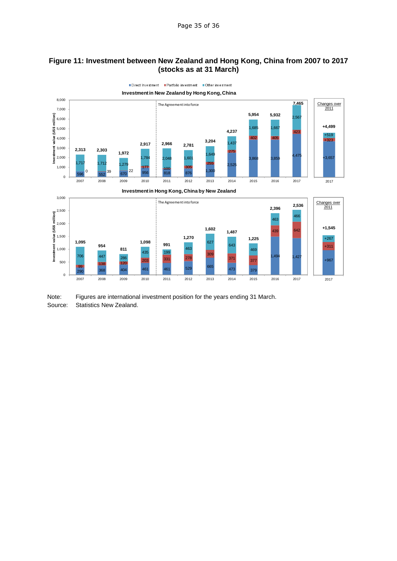#### **Figure 11: Investment between New Zealand and Hong Kong, China from 2007 to 2017 (stocks as at 31 March)**



Note: Figures are international investment position for the years ending 31 March. Source: Statistics New Zealand.